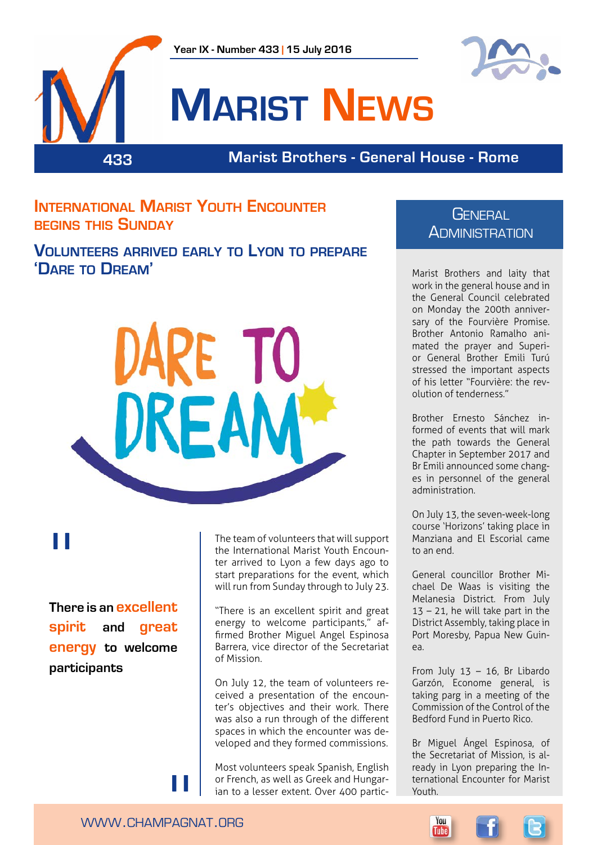





## **Marist News**

**433 Marist Brothers - General House - Rome**

**International Marist Youth Encounter begins this Sunday**

**Volunteers arrived early to Lyon to prepare 'Dare to Dream'**



# "

**There is an excellent spirit and great energy to welcome participants**

The team of volunteers that will support the International Marist Youth Encounter arrived to Lyon a few days ago to start preparations for the event, which will run from Sunday through to July 23.

"There is an excellent spirit and great energy to welcome participants," affirmed Brother Miguel Angel Espinosa Barrera, vice director of the Secretariat of Mission.

On July 12, the team of volunteers received a presentation of the encounter's objectives and their work. There was also a run through of the different spaces in which the encounter was developed and they formed commissions.

Most volunteers speak Spanish, English or French, as well as Greek and Hungarian to a lesser extent. Over 400 partic-

#### **GENERAL ADMINISTRATION**

Marist Brothers and laity that work in the general house and in the General Council celebrated on Monday the 200th anniversary of the Fourvière Promise. Brother Antonio Ramalho animated the prayer and Superior General Brother Emili Turú stressed the important aspects of his letter "Fourvière: the revolution of tenderness."

Brother Ernesto Sánchez informed of events that will mark the path towards the General Chapter in September 2017 and Br Emili announced some changes in personnel of the general administration.

On July 13, the seven-week-long course 'Horizons' taking place in Manziana and El Escorial came to an end.

General councillor Brother Michael De Waas is visiting the Melanesia District. From July 13 – 21, he will take part in the District Assembly, taking place in Port Moresby, Papua New Guinea.

From July 13 – 16, Br Libardo Garzón, Econome general, is taking parg in a meeting of the Commission of the Control of the Bedford Fund in Puerto Rico.

Br Miguel Ángel Espinosa, of the Secretariat of Mission, is already in Lyon preparing the International Encounter for Marist Youth.

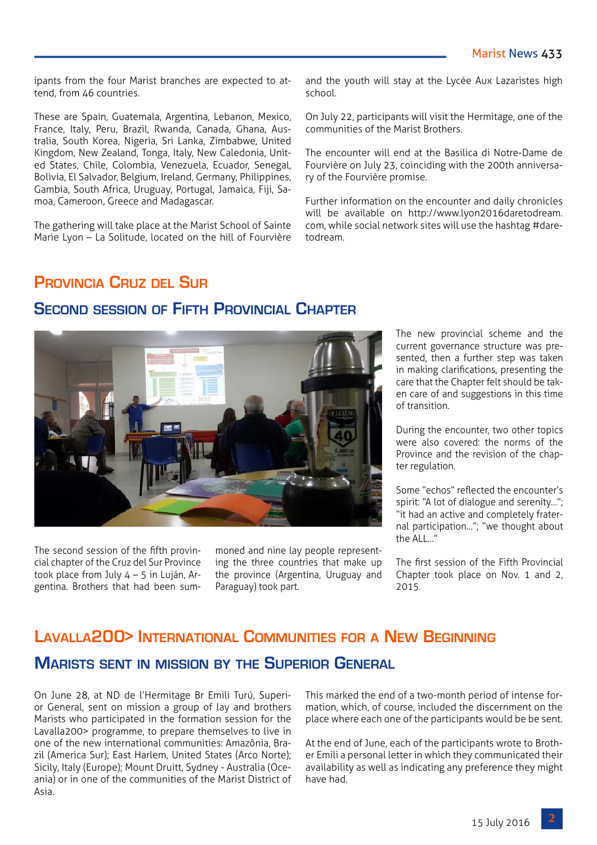and the youth will stay at the Lycée Aux Lazaristes high

On July 22, participants will visit the Hermitage, one of the

The encounter will end at the Basilica di Notre-Dame de Fourvière on July 23, coinciding with the 200th anniversa-

Further information on the encounter and daily chronicles will be available on http://www.lyon2016daretodream. com, while social network sites will use the hashtag #dare-

communities of the Marist Brothers.

ry of the Fourvière promise.

school.

todream.

ipants from the four Marist branches are expected to attend, from 46 countries.

These are Spain, Guatemala, Argentina, Lebanon, Mexico, France, Italy, Peru, Brazil, Rwanda, Canada, Ghana, Australia, South Korea, Nigeria, Sri Lanka, Zimbabwe, United Kingdom, New Zealand, Tonga, Italy, New Caledonia, United States, Chile, Colombia, Venezuela, Ecuador, Senegal, Bolivia, El Salvador, Belgium, Ireland, Germany, Philippines, Gambia, South Africa, Uruguay, Portugal, Jamaica, Fiji, Samoa, Cameroon, Greece and Madagascar.

The gathering will take place at the Marist School of Sainte Marie Lyon – La Solitude, located on the hill of Fourvière

#### **Provincia Cruz del Sur**

#### **Second session of Fifth Provincial Chapter**

The new provincial scheme and the current governance structure was presented, then a further step was taken in making clarifications, presenting the care that the Chapter felt should be taken care of and suggestions in this time of transition.

During the encounter, two other topics were also covered: the norms of the Province and the revision of the chapter regulation.

Some "echos" reflected the encounter's spirit: "A lot of dialogue and serenity…"; "it had an active and completely fraternal participation…"; "we thought about the ALL…"

The first session of the Fifth Provincial Chapter took place on Nov. 1 and 2, 2015.

### **Lavalla200> International Communities for a New Beginning Marists sent in mission by the Superior General**

On June 28, at ND de l'Hermitage Br Emili Turú, Superior General, sent on mission a group of lay and brothers Marists who participated in the formation session for the Lavalla200> programme, to prepare themselves to live in one of the new international communities: Amazônia, Brazil (America Sur); East Harlem, United States (Arco Norte); Sicily, Italy (Europe); Mount Druitt, Sydney - Australia (Oceania) or in one of the communities of the Marist District of Asia.

This marked the end of a two-month period of intense formation, which, of course, included the discernment on the place where each one of the participants would be be sent.

At the end of June, each of the participants wrote to Brother Emili a personal letter in which they communicated their availability as well as indicating any preference they might have had.



The second session of the fifth provincial chapter of the Cruz del Sur Province took place from July 4 – 5 in Luján, Argentina. Brothers that had been summoned and nine lay people representing the three countries that make up the province (Argentina, Uruguay and Paraguay) took part.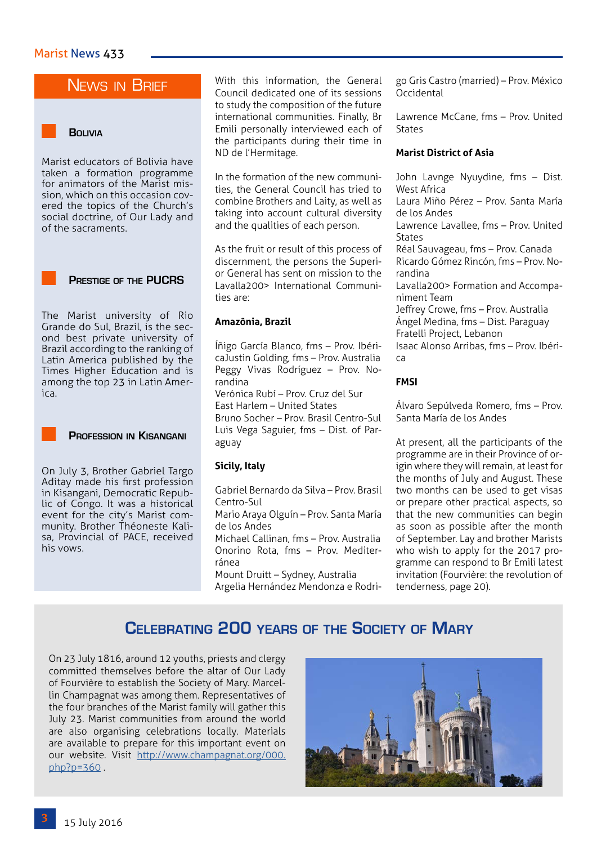#### News in Brief

#### **Bolivia**

Marist educators of Bolivia have taken a formation programme for animators of the Marist mission, which on this occasion covered the topics of the Church's social doctrine, of Our Lady and of the sacraments.



The Marist university of Rio Grande do Sul, Brazil, is the second best private university of Brazil according to the ranking of Latin America published by the Times Higher Education and is among the top 23 in Latin America.



On July 3, Brother Gabriel Targo Aditay made his first profession in Kisangani, Democratic Republic of Congo. It was a historical event for the city's Marist community. Brother Théoneste Kalisa, Provincial of PACE, received his vows.

With this information, the General Council dedicated one of its sessions to study the composition of the future international communities. Finally, Br Emili personally interviewed each of the participants during their time in ND de l'Hermitage.

In the formation of the new communities, the General Council has tried to combine Brothers and Laity, as well as taking into account cultural diversity and the qualities of each person.

As the fruit or result of this process of discernment, the persons the Superior General has sent on mission to the Lavalla200> International Communities are:

#### **Amazônia, Brazil**

Íñigo García Blanco, fms – Prov. IbéricaJustin Golding, fms – Prov. Australia Peggy Vivas Rodríguez – Prov. Norandina Verónica Rubí – Prov. Cruz del Sur East Harlem – United States Bruno Socher – Prov. Brasil Centro-Sul Luis Vega Saguier, fms – Dist. of Paraguay

#### **Sicily, Italy**

Gabriel Bernardo da Silva – Prov. Brasil Centro-Sul

Mario Araya Olguín – Prov. Santa María de los Andes

Michael Callinan, fms – Prov. Australia Onorino Rota, fms – Prov. Mediterránea

Mount Druitt – Sydney, Australia Argelia Hernández Mendonza e Rodrigo Gris Castro (married) – Prov. México Occidental

Lawrence McCane, fms – Prov. United **States** 

#### **Marist District of Asia**

John Lavnge Nyuydine, fms – Dist. West Africa Laura Miño Pérez – Prov. Santa María de los Andes Lawrence Lavallee, fms – Prov. United States Réal Sauvageau, fms – Prov. Canada Ricardo Gómez Rincón, fms – Prov. Norandina Lavalla200> Formation and Accompaniment Team Jeffrey Crowe, fms – Prov. Australia Ángel Medina, fms – Dist. Paraguay Fratelli Project, Lebanon Isaac Alonso Arribas, fms – Prov. Ibérica

#### **FMSI**

Álvaro Sepúlveda Romero, fms – Prov. Santa María de los Andes

At present, all the participants of the programme are in their Province of origin where they will remain, at least for the months of July and August. These two months can be used to get visas or prepare other practical aspects, so that the new communities can begin as soon as possible after the month of September. Lay and brother Marists who wish to apply for the 2017 programme can respond to Br Emili latest invitation (Fourvière: the revolution of tenderness, page 20).

#### **Celebrating 200 years of the Society of Mary**

On 23 July 1816, around 12 youths, priests and clergy committed themselves before the altar of Our Lady of Fourvière to establish the Society of Mary. Marcellin Champagnat was among them. Representatives of the four branches of the Marist family will gather this July 23. Marist communities from around the world are also organising celebrations locally. Materials are available to prepare for this important event on our website. Visit [http://www.champagnat.org/000.](http://www.champagnat.org/000.php?p=360) [php?p=360](http://www.champagnat.org/000.php?p=360) .

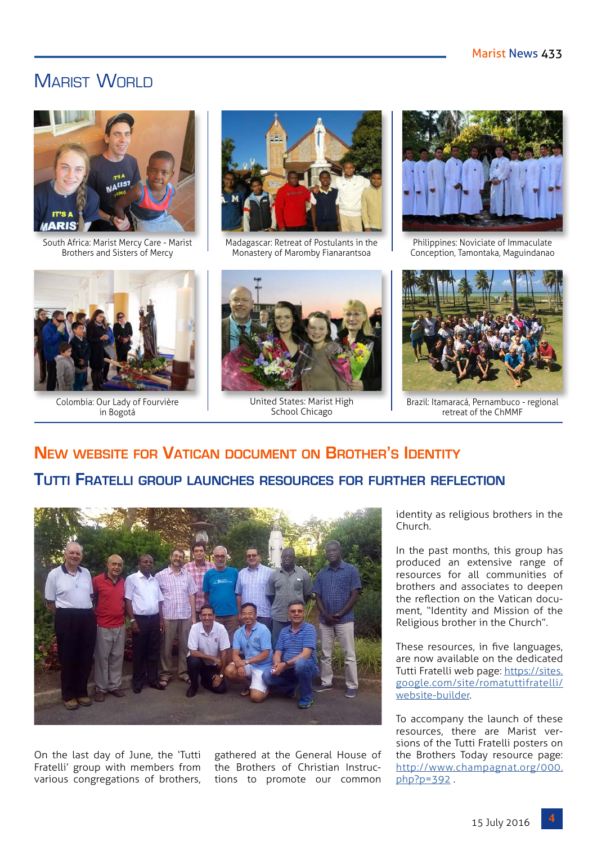### MARIST WORLD



South Africa: Marist Mercy Care - Marist Brothers and Sisters of Mercy



Madagascar: Retreat of Postulants in the Monastery of Maromby Fianarantsoa



Colombia: Our Lady of Fourvière in Bogotá



United States: Marist High School Chicago



Philippines: Noviciate of Immaculate Conception, Tamontaka, Maguindanao



Brazil: Itamaracá, Pernambuco - regional retreat of the ChMMF

## **New website for Vatican document on Brother's Identity Tutti Fratelli group launches resources for further reflection**



On the last day of June, the 'Tutti Fratelli' group with members from various congregations of brothers,

gathered at the General House of the Brothers of Christian Instructions to promote our common

identity as religious brothers in the Church.

In the past months, this group has produced an extensive range of resources for all communities of brothers and associates to deepen the reflection on the Vatican document, "Identity and Mission of the Religious brother in the Church".

These resources, in five languages, are now available on the dedicated Tutti Fratelli web page: [https://sites.](https://sites.google.com/site/romatuttifratelli/website-builder) [google.com/site/romatuttifratelli/](https://sites.google.com/site/romatuttifratelli/website-builder) [website-builder](https://sites.google.com/site/romatuttifratelli/website-builder).

To accompany the launch of these resources, there are Marist versions of the Tutti Fratelli posters on the Brothers Today resource page: [http://www.champagnat.org/000.](http://www.champagnat.org/000.php?p=392) [php?p=392](http://www.champagnat.org/000.php?p=392) .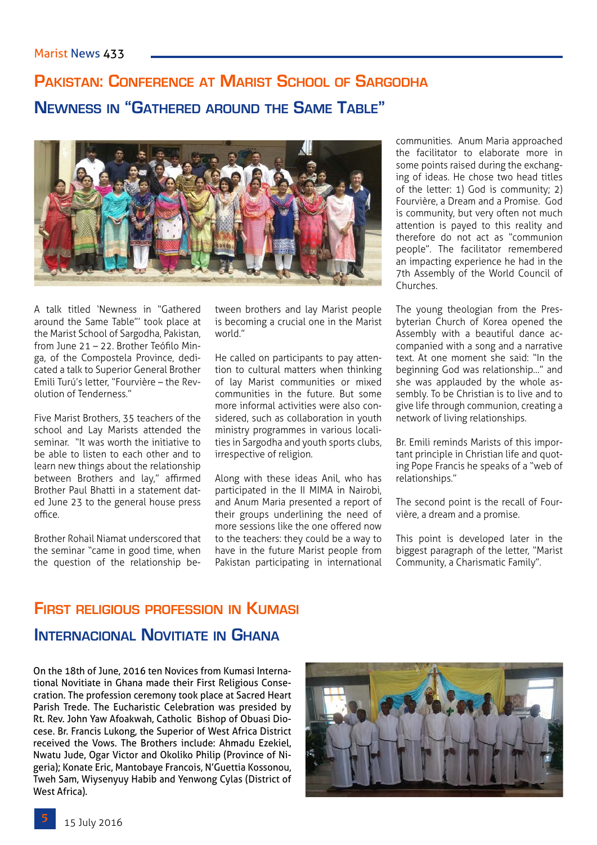## **Pakistan: Conference at Marist School of Sargodha Newness in "Gathered around the Same Table"**



A talk titled 'Newness in "Gathered around the Same Table"' took place at the Marist School of Sargodha, Pakistan, from June 21 – 22. Brother Teófilo Minga, of the Compostela Province, dedicated a talk to Superior General Brother Emili Turú's letter, "Fourvière – the Revolution of Tenderness."

Five Marist Brothers, 35 teachers of the school and Lay Marists attended the seminar. "It was worth the initiative to be able to listen to each other and to learn new things about the relationship between Brothers and lay," affirmed Brother Paul Bhatti in a statement dated June 23 to the general house press office.

Brother Rohail Niamat underscored that the seminar "came in good time, when the question of the relationship between brothers and lay Marist people is becoming a crucial one in the Marist world."

He called on participants to pay attention to cultural matters when thinking of lay Marist communities or mixed communities in the future. But some more informal activities were also considered, such as collaboration in youth ministry programmes in various localities in Sargodha and youth sports clubs, irrespective of religion.

Along with these ideas Anil, who has participated in the II MIMA in Nairobi, and Anum Maria presented a report of their groups underlining the need of more sessions like the one offered now to the teachers: they could be a way to have in the future Marist people from Pakistan participating in international

communities. Anum Maria approached the facilitator to elaborate more in some points raised during the exchanging of ideas. He chose two head titles of the letter: 1) God is community; 2) Fourvière, a Dream and a Promise. God is community, but very often not much attention is payed to this reality and therefore do not act as "communion people". The facilitator remembered an impacting experience he had in the 7th Assembly of the World Council of Churches.

The young theologian from the Presbyterian Church of Korea opened the Assembly with a beautiful dance accompanied with a song and a narrative text. At one moment she said: "In the beginning God was relationship…" and she was applauded by the whole assembly. To be Christian is to live and to give life through communion, creating a network of living relationships.

Br. Emili reminds Marists of this important principle in Christian life and quoting Pope Francis he speaks of a "web of relationships."

The second point is the recall of Fourvière, a dream and a promise.

This point is developed later in the biggest paragraph of the letter, "Marist Community, a Charismatic Family".

## **First religious profession in Kumasi**

#### **Internacional Novitiate in Ghana**

On the 18th of June, 2016 ten Novices from Kumasi International Novitiate in Ghana made their First Religious Consecration. The profession ceremony took place at Sacred Heart Parish Trede. The Eucharistic Celebration was presided by Rt. Rev. John Yaw Afoakwah, Catholic Bishop of Obuasi Diocese. Br. Francis Lukong, the Superior of West Africa District received the Vows. The Brothers include: Ahmadu Ezekiel, Nwatu Jude, Ogar Victor and Okoliko Philip (Province of Nigeria); Konate Eric, Mantobaye Francois, N'Guettia Kossonou, Tweh Sam, Wiysenyuy Habib and Yenwong Cylas (District of West Africa).